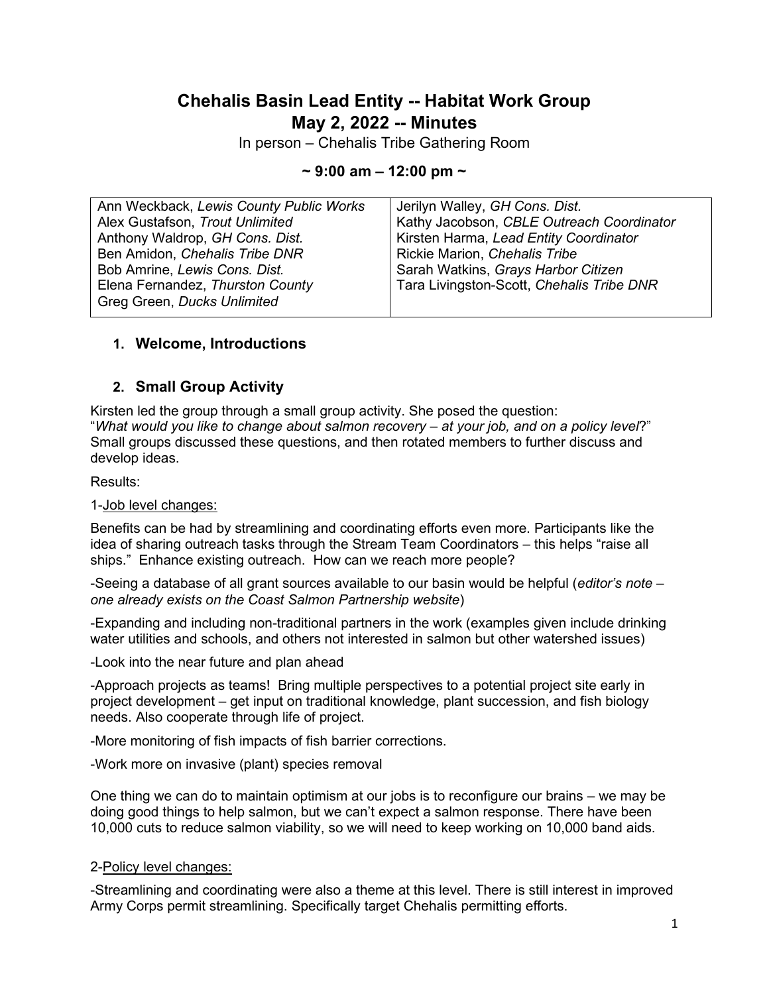# **Chehalis Basin Lead Entity -- Habitat Work Group May 2, 2022 -- Minutes**

In person – Chehalis Tribe Gathering Room

#### **~ 9:00 am – 12:00 pm ~**

| Ann Weckback, Lewis County Public Works | Jerilyn Walley, GH Cons. Dist.            |
|-----------------------------------------|-------------------------------------------|
| Alex Gustafson, Trout Unlimited         | Kathy Jacobson, CBLE Outreach Coordinator |
| Anthony Waldrop, GH Cons. Dist.         | Kirsten Harma, Lead Entity Coordinator    |
| Ben Amidon, Chehalis Tribe DNR          | Rickie Marion, Chehalis Tribe             |
| Bob Amrine, Lewis Cons. Dist.           | Sarah Watkins, Grays Harbor Citizen       |
| Elena Fernandez, Thurston County        | Tara Livingston-Scott, Chehalis Tribe DNR |
| Greg Green, Ducks Unlimited             |                                           |
|                                         |                                           |

### **1. Welcome, Introductions**

### **2. Small Group Activity**

Kirsten led the group through a small group activity. She posed the question: "*What would you like to change about salmon recovery – at your job, and on a policy level*?" Small groups discussed these questions, and then rotated members to further discuss and develop ideas.

Results:

#### 1-Job level changes:

Benefits can be had by streamlining and coordinating efforts even more. Participants like the idea of sharing outreach tasks through the Stream Team Coordinators – this helps "raise all ships." Enhance existing outreach. How can we reach more people?

-Seeing a database of all grant sources available to our basin would be helpful (*editor's note – one already exists on the Coast Salmon Partnership website*)

-Expanding and including non-traditional partners in the work (examples given include drinking water utilities and schools, and others not interested in salmon but other watershed issues)

-Look into the near future and plan ahead

-Approach projects as teams! Bring multiple perspectives to a potential project site early in project development – get input on traditional knowledge, plant succession, and fish biology needs. Also cooperate through life of project.

-More monitoring of fish impacts of fish barrier corrections.

-Work more on invasive (plant) species removal

One thing we can do to maintain optimism at our jobs is to reconfigure our brains – we may be doing good things to help salmon, but we can't expect a salmon response. There have been 10,000 cuts to reduce salmon viability, so we will need to keep working on 10,000 band aids.

#### 2-Policy level changes:

-Streamlining and coordinating were also a theme at this level. There is still interest in improved Army Corps permit streamlining. Specifically target Chehalis permitting efforts.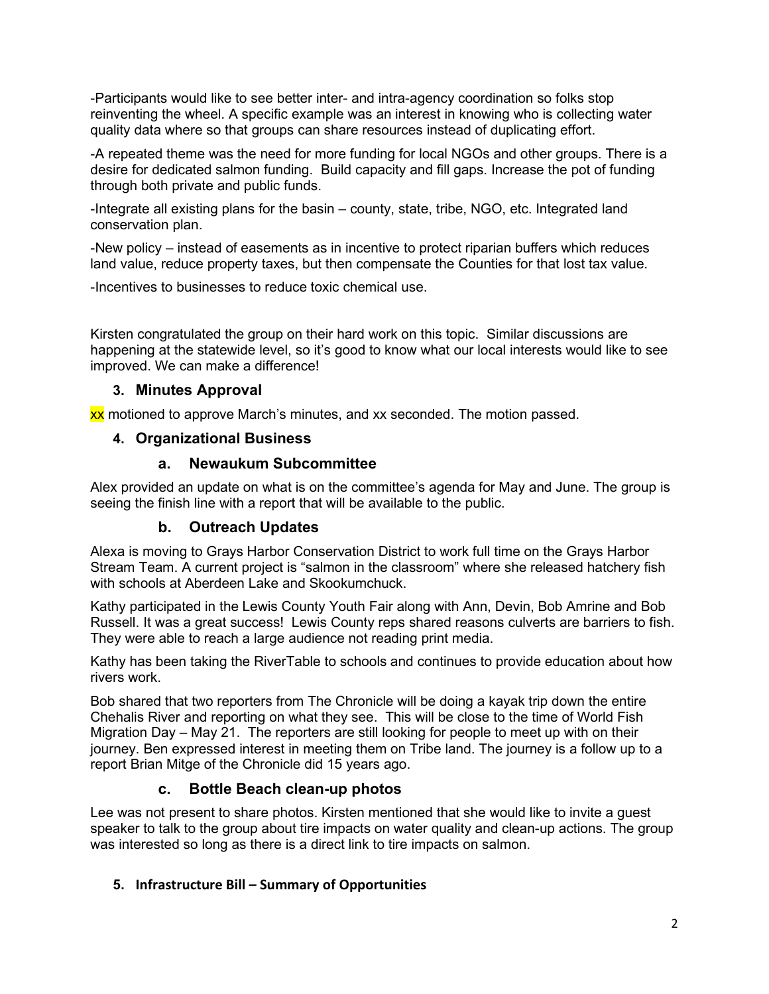-Participants would like to see better inter- and intra-agency coordination so folks stop reinventing the wheel. A specific example was an interest in knowing who is collecting water quality data where so that groups can share resources instead of duplicating effort.

-A repeated theme was the need for more funding for local NGOs and other groups. There is a desire for dedicated salmon funding. Build capacity and fill gaps. Increase the pot of funding through both private and public funds.

-Integrate all existing plans for the basin – county, state, tribe, NGO, etc. Integrated land conservation plan.

-New policy – instead of easements as in incentive to protect riparian buffers which reduces land value, reduce property taxes, but then compensate the Counties for that lost tax value.

-Incentives to businesses to reduce toxic chemical use.

Kirsten congratulated the group on their hard work on this topic. Similar discussions are happening at the statewide level, so it's good to know what our local interests would like to see improved. We can make a difference!

### **3. Minutes Approval**

xx motioned to approve March's minutes, and xx seconded. The motion passed.

### **4. Organizational Business**

### **a. Newaukum Subcommittee**

Alex provided an update on what is on the committee's agenda for May and June. The group is seeing the finish line with a report that will be available to the public.

# **b. Outreach Updates**

Alexa is moving to Grays Harbor Conservation District to work full time on the Grays Harbor Stream Team. A current project is "salmon in the classroom" where she released hatchery fish with schools at Aberdeen Lake and Skookumchuck.

Kathy participated in the Lewis County Youth Fair along with Ann, Devin, Bob Amrine and Bob Russell. It was a great success! Lewis County reps shared reasons culverts are barriers to fish. They were able to reach a large audience not reading print media.

Kathy has been taking the RiverTable to schools and continues to provide education about how rivers work.

Bob shared that two reporters from The Chronicle will be doing a kayak trip down the entire Chehalis River and reporting on what they see. This will be close to the time of World Fish Migration Day – May 21. The reporters are still looking for people to meet up with on their journey. Ben expressed interest in meeting them on Tribe land. The journey is a follow up to a report Brian Mitge of the Chronicle did 15 years ago.

### **c. Bottle Beach clean-up photos**

Lee was not present to share photos. Kirsten mentioned that she would like to invite a guest speaker to talk to the group about tire impacts on water quality and clean-up actions. The group was interested so long as there is a direct link to tire impacts on salmon.

### **5. Infrastructure Bill – Summary of Opportunities**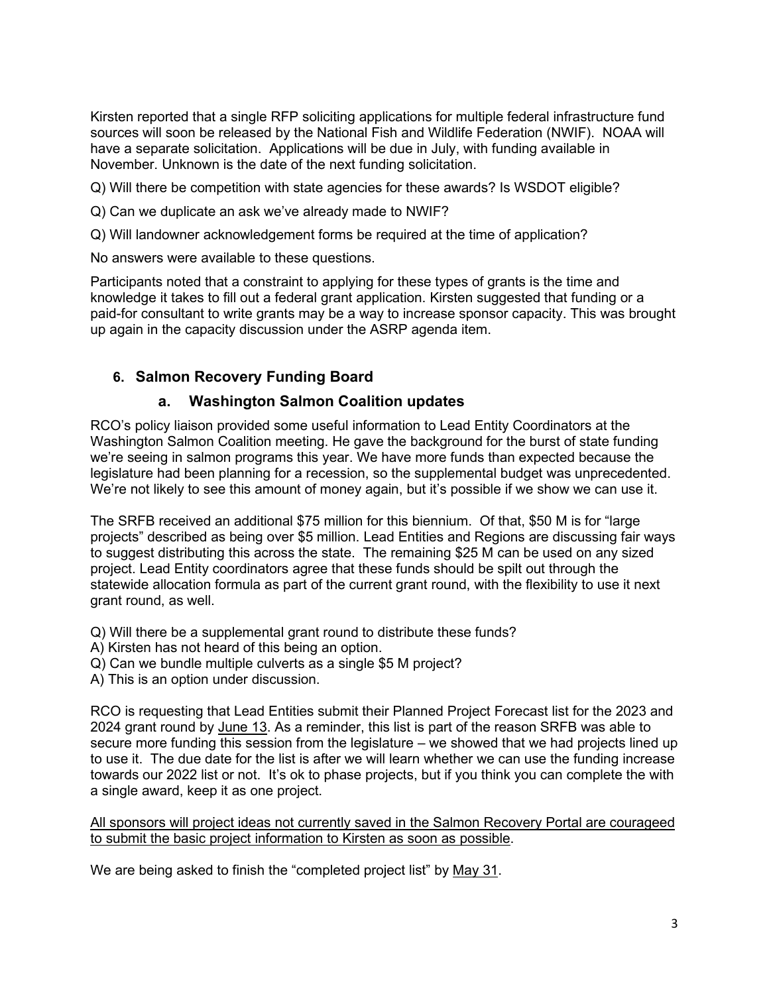Kirsten reported that a single RFP soliciting applications for multiple federal infrastructure fund sources will soon be released by the National Fish and Wildlife Federation (NWIF). NOAA will have a separate solicitation. Applications will be due in July, with funding available in November. Unknown is the date of the next funding solicitation.

Q) Will there be competition with state agencies for these awards? Is WSDOT eligible?

Q) Can we duplicate an ask we've already made to NWIF?

Q) Will landowner acknowledgement forms be required at the time of application?

No answers were available to these questions.

Participants noted that a constraint to applying for these types of grants is the time and knowledge it takes to fill out a federal grant application. Kirsten suggested that funding or a paid-for consultant to write grants may be a way to increase sponsor capacity. This was brought up again in the capacity discussion under the ASRP agenda item.

# **6. Salmon Recovery Funding Board**

### **a. Washington Salmon Coalition updates**

RCO's policy liaison provided some useful information to Lead Entity Coordinators at the Washington Salmon Coalition meeting. He gave the background for the burst of state funding we're seeing in salmon programs this year. We have more funds than expected because the legislature had been planning for a recession, so the supplemental budget was unprecedented. We're not likely to see this amount of money again, but it's possible if we show we can use it.

The SRFB received an additional \$75 million for this biennium. Of that, \$50 M is for "large projects" described as being over \$5 million. Lead Entities and Regions are discussing fair ways to suggest distributing this across the state. The remaining \$25 M can be used on any sized project. Lead Entity coordinators agree that these funds should be spilt out through the statewide allocation formula as part of the current grant round, with the flexibility to use it next grant round, as well.

Q) Will there be a supplemental grant round to distribute these funds?

- A) Kirsten has not heard of this being an option.
- Q) Can we bundle multiple culverts as a single \$5 M project?

A) This is an option under discussion.

RCO is requesting that Lead Entities submit their Planned Project Forecast list for the 2023 and 2024 grant round by June 13. As a reminder, this list is part of the reason SRFB was able to secure more funding this session from the legislature – we showed that we had projects lined up to use it. The due date for the list is after we will learn whether we can use the funding increase towards our 2022 list or not. It's ok to phase projects, but if you think you can complete the with a single award, keep it as one project.

All sponsors will project ideas not currently saved in the Salmon Recovery Portal are courageed to submit the basic project information to Kirsten as soon as possible.

We are being asked to finish the "completed project list" by May 31.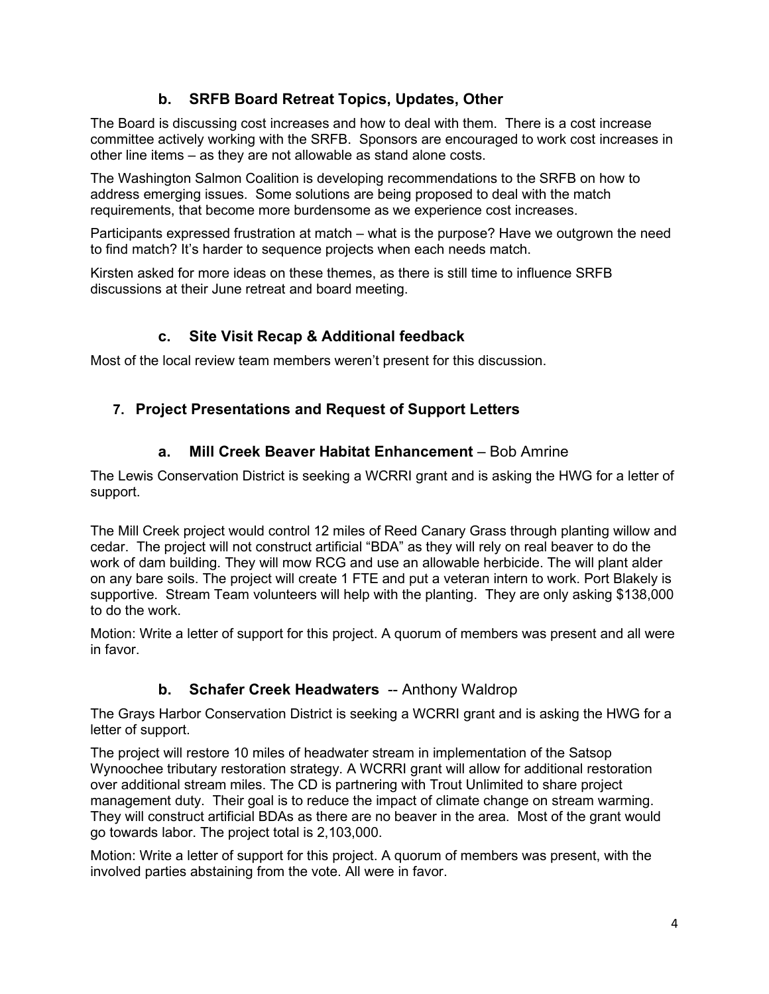# **b. SRFB Board Retreat Topics, Updates, Other**

The Board is discussing cost increases and how to deal with them. There is a cost increase committee actively working with the SRFB. Sponsors are encouraged to work cost increases in other line items – as they are not allowable as stand alone costs.

The Washington Salmon Coalition is developing recommendations to the SRFB on how to address emerging issues. Some solutions are being proposed to deal with the match requirements, that become more burdensome as we experience cost increases.

Participants expressed frustration at match – what is the purpose? Have we outgrown the need to find match? It's harder to sequence projects when each needs match.

Kirsten asked for more ideas on these themes, as there is still time to influence SRFB discussions at their June retreat and board meeting.

# **c. Site Visit Recap & Additional feedback**

Most of the local review team members weren't present for this discussion.

# **7. Project Presentations and Request of Support Letters**

# **a. Mill Creek Beaver Habitat Enhancement** – Bob Amrine

The Lewis Conservation District is seeking a WCRRI grant and is asking the HWG for a letter of support.

The Mill Creek project would control 12 miles of Reed Canary Grass through planting willow and cedar. The project will not construct artificial "BDA" as they will rely on real beaver to do the work of dam building. They will mow RCG and use an allowable herbicide. The will plant alder on any bare soils. The project will create 1 FTE and put a veteran intern to work. Port Blakely is supportive. Stream Team volunteers will help with the planting. They are only asking \$138,000 to do the work.

Motion: Write a letter of support for this project. A quorum of members was present and all were in favor.

# **b.** Schafer Creek Headwaters -- Anthony Waldrop

The Grays Harbor Conservation District is seeking a WCRRI grant and is asking the HWG for a letter of support.

The project will restore 10 miles of headwater stream in implementation of the Satsop Wynoochee tributary restoration strategy. A WCRRI grant will allow for additional restoration over additional stream miles. The CD is partnering with Trout Unlimited to share project management duty. Their goal is to reduce the impact of climate change on stream warming. They will construct artificial BDAs as there are no beaver in the area. Most of the grant would go towards labor. The project total is 2,103,000.

Motion: Write a letter of support for this project. A quorum of members was present, with the involved parties abstaining from the vote. All were in favor.